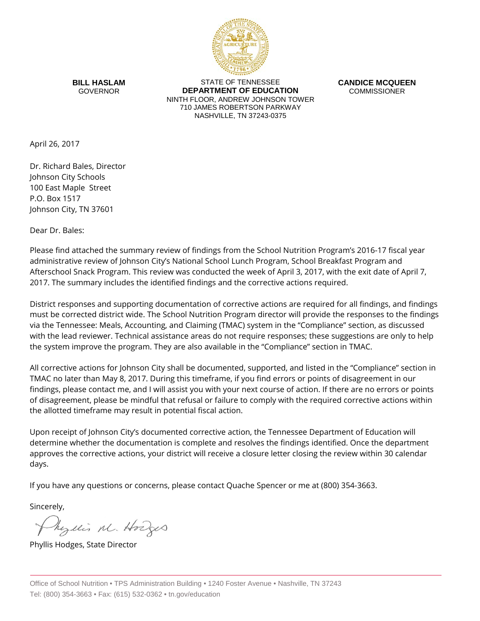

**BILL HASLAM** GOVERNOR

STATE OF TENNESSEE **DEPARTMENT OF EDUCATION** NINTH FLOOR, ANDREW JOHNSON TOWER 710 JAMES ROBERTSON PARKWAY NASHVILLE, TN 37243-0375

**CANDICE MCQUEEN** COMMISSIONER

April 26, 2017

Dr. Richard Bales, Director Johnson City Schools 100 East Maple Street P.O. Box 1517 Johnson City, TN 37601

Dear Dr. Bales:

Please find attached the summary review of findings from the School Nutrition Program's 2016-17 fiscal year administrative review of Johnson City's National School Lunch Program, School Breakfast Program and Afterschool Snack Program. This review was conducted the week of April 3, 2017, with the exit date of April 7, 2017. The summary includes the identified findings and the corrective actions required.

District responses and supporting documentation of corrective actions are required for all findings, and findings must be corrected district wide. The School Nutrition Program director will provide the responses to the findings via the Tennessee: Meals, Accounting, and Claiming (TMAC) system in the "Compliance" section, as discussed with the lead reviewer. Technical assistance areas do not require responses; these suggestions are only to help the system improve the program. They are also available in the "Compliance" section in TMAC.

All corrective actions for Johnson City shall be documented, supported, and listed in the "Compliance" section in TMAC no later than May 8, 2017. During this timeframe, if you find errors or points of disagreement in our findings, please contact me, and I will assist you with your next course of action. If there are no errors or points of disagreement, please be mindful that refusal or failure to comply with the required corrective actions within the allotted timeframe may result in potential fiscal action.

Upon receipt of Johnson City's documented corrective action, the Tennessee Department of Education will determine whether the documentation is complete and resolves the findings identified. Once the department approves the corrective actions, your district will receive a closure letter closing the review within 30 calendar days.

If you have any questions or concerns, please contact Quache Spencer or me at (800) 354-3663.

Sincerely,

Myllis M. Hodges

Phyllis Hodges, State Director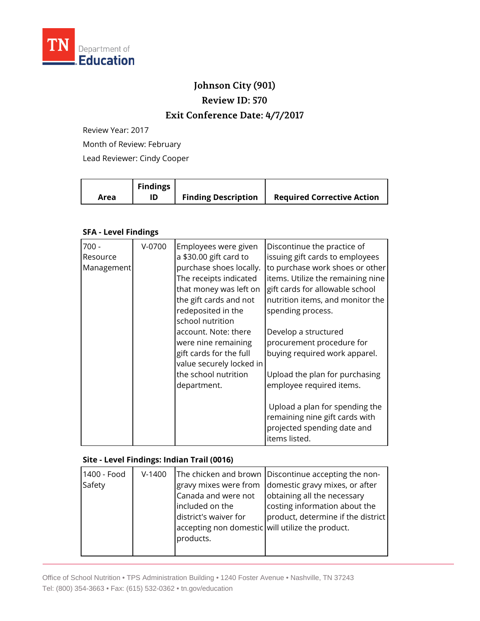

## **Johnson City (901)**

**Review ID: 570**

### **Exit Conference Date: 4/7/2017**

Review Year: 2017

Month of Review: February

Lead Reviewer: Cindy Cooper

| Area | <b>Findings</b><br>ID | <b>Finding Description</b> | <b>Required Corrective Action</b> |
|------|-----------------------|----------------------------|-----------------------------------|
|      |                       |                            |                                   |

#### **SFA - Level Findings**

| $700 -$<br>Resource<br>Management | V-0700 | Employees were given<br>a \$30.00 gift card to<br>purchase shoes locally.<br>The receipts indicated<br>that money was left on<br>the gift cards and not<br>redeposited in the<br>school nutrition<br>account. Note: there<br>were nine remaining<br>gift cards for the full<br>value securely locked in<br>the school nutrition<br>department. | Discontinue the practice of<br>issuing gift cards to employees<br>to purchase work shoes or other<br>items. Utilize the remaining nine<br>gift cards for allowable school<br>nutrition items, and monitor the<br>spending process.<br>Develop a structured<br>procurement procedure for<br>buying required work apparel.<br>Upload the plan for purchasing<br>employee required items.<br>Upload a plan for spending the |
|-----------------------------------|--------|------------------------------------------------------------------------------------------------------------------------------------------------------------------------------------------------------------------------------------------------------------------------------------------------------------------------------------------------|--------------------------------------------------------------------------------------------------------------------------------------------------------------------------------------------------------------------------------------------------------------------------------------------------------------------------------------------------------------------------------------------------------------------------|
|                                   |        |                                                                                                                                                                                                                                                                                                                                                | remaining nine gift cards with<br>projected spending date and<br>items listed.                                                                                                                                                                                                                                                                                                                                           |

#### **Site - Level Findings: Indian Trail (0016)**

| 1400 - Food<br>Safety | $V-1400$ | gravy mixes were from<br>Canada and were not<br>included on the<br>district's waiver for<br>accepting non domestic will utilize the product.<br>products. | The chicken and brown Discontinue accepting the non-<br>domestic gravy mixes, or after<br>obtaining all the necessary<br>costing information about the<br>product, determine if the district |
|-----------------------|----------|-----------------------------------------------------------------------------------------------------------------------------------------------------------|----------------------------------------------------------------------------------------------------------------------------------------------------------------------------------------------|
|-----------------------|----------|-----------------------------------------------------------------------------------------------------------------------------------------------------------|----------------------------------------------------------------------------------------------------------------------------------------------------------------------------------------------|